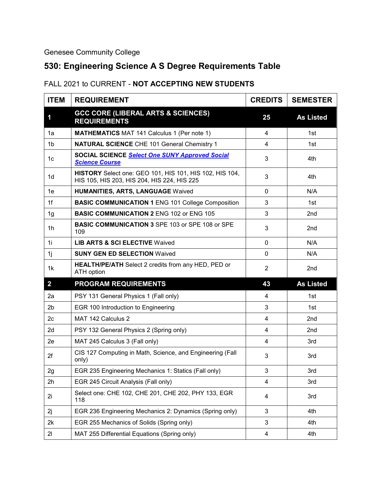## Genesee Community College

## **530: Engineering Science A S Degree Requirements Table**

## FALL 2021 to CURRENT - **NOT ACCEPTING NEW STUDENTS**

| <b>ITEM</b>             | <b>REQUIREMENT</b>                                                                                     | <b>CREDITS</b> | <b>SEMESTER</b>  |
|-------------------------|--------------------------------------------------------------------------------------------------------|----------------|------------------|
| 1                       | <b>GCC CORE (LIBERAL ARTS &amp; SCIENCES)</b><br><b>REQUIREMENTS</b>                                   | 25             | <b>As Listed</b> |
| 1a                      | <b>MATHEMATICS MAT 141 Calculus 1 (Per note 1)</b>                                                     | 4              | 1st              |
| 1 <sub>b</sub>          | <b>NATURAL SCIENCE CHE 101 General Chemistry 1</b>                                                     | 4              | 1st              |
| 1c                      | <b>SOCIAL SCIENCE Select One SUNY Approved Social</b><br><b>Science Course</b>                         | 3              | 4th              |
| 1 <sub>d</sub>          | HISTORY Select one: GEO 101, HIS 101, HIS 102, HIS 104,<br>HIS 105, HIS 203, HIS 204, HIS 224, HIS 225 | 3              | 4th              |
| 1e                      | <b>HUMANITIES, ARTS, LANGUAGE Waived</b>                                                               | $\Omega$       | N/A              |
| 1f                      | <b>BASIC COMMUNICATION 1 ENG 101 College Composition</b>                                               | 3              | 1st              |
| 1g                      | <b>BASIC COMMUNICATION 2 ENG 102 or ENG 105</b>                                                        | 3              | 2nd              |
| 1h                      | <b>BASIC COMMUNICATION 3 SPE 103 or SPE 108 or SPE</b><br>109                                          | 3              | 2nd              |
| 1i                      | <b>LIB ARTS &amp; SCI ELECTIVE Waived</b>                                                              | $\Omega$       | N/A              |
| 1 <sub>i</sub>          | <b>SUNY GEN ED SELECTION Waived</b>                                                                    | $\mathbf 0$    | N/A              |
| 1k                      | <b>HEALTH/PE/ATH</b> Select 2 credits from any HED, PED or<br><b>ATH</b> option                        | $\overline{2}$ | 2 <sub>nd</sub>  |
| $\overline{\mathbf{2}}$ | <b>PROGRAM REQUIREMENTS</b>                                                                            | 43             | <b>As Listed</b> |
| 2a                      | PSY 131 General Physics 1 (Fall only)                                                                  | 4              | 1st              |
| 2 <sub>b</sub>          | EGR 100 Introduction to Engineering                                                                    | 3              | 1st              |
| 2 <sub>c</sub>          | MAT 142 Calculus 2                                                                                     | 4              | 2 <sub>nd</sub>  |
| 2d                      | PSY 132 General Physics 2 (Spring only)                                                                | 4              | 2nd              |
| 2e                      | MAT 245 Calculus 3 (Fall only)                                                                         | 4              | 3rd              |
| 2f                      | CIS 127 Computing in Math, Science, and Engineering (Fall<br>only)                                     | 3              | 3rd              |
| 2g                      | EGR 235 Engineering Mechanics 1: Statics (Fall only)                                                   | 3              | 3rd              |
| 2h                      | EGR 245 Circuit Analysis (Fall only)                                                                   | 4              | 3rd              |
| 2i                      | Select one: CHE 102, CHE 201, CHE 202, PHY 133, EGR<br>118                                             | 4              | 3rd              |
| 2j                      | EGR 236 Engineering Mechanics 2: Dynamics (Spring only)                                                | 3              | 4th              |
| 2k                      | EGR 255 Mechanics of Solids (Spring only)                                                              | 3              | 4th              |
| 21                      | MAT 255 Differential Equations (Spring only)                                                           | 4              | 4th              |